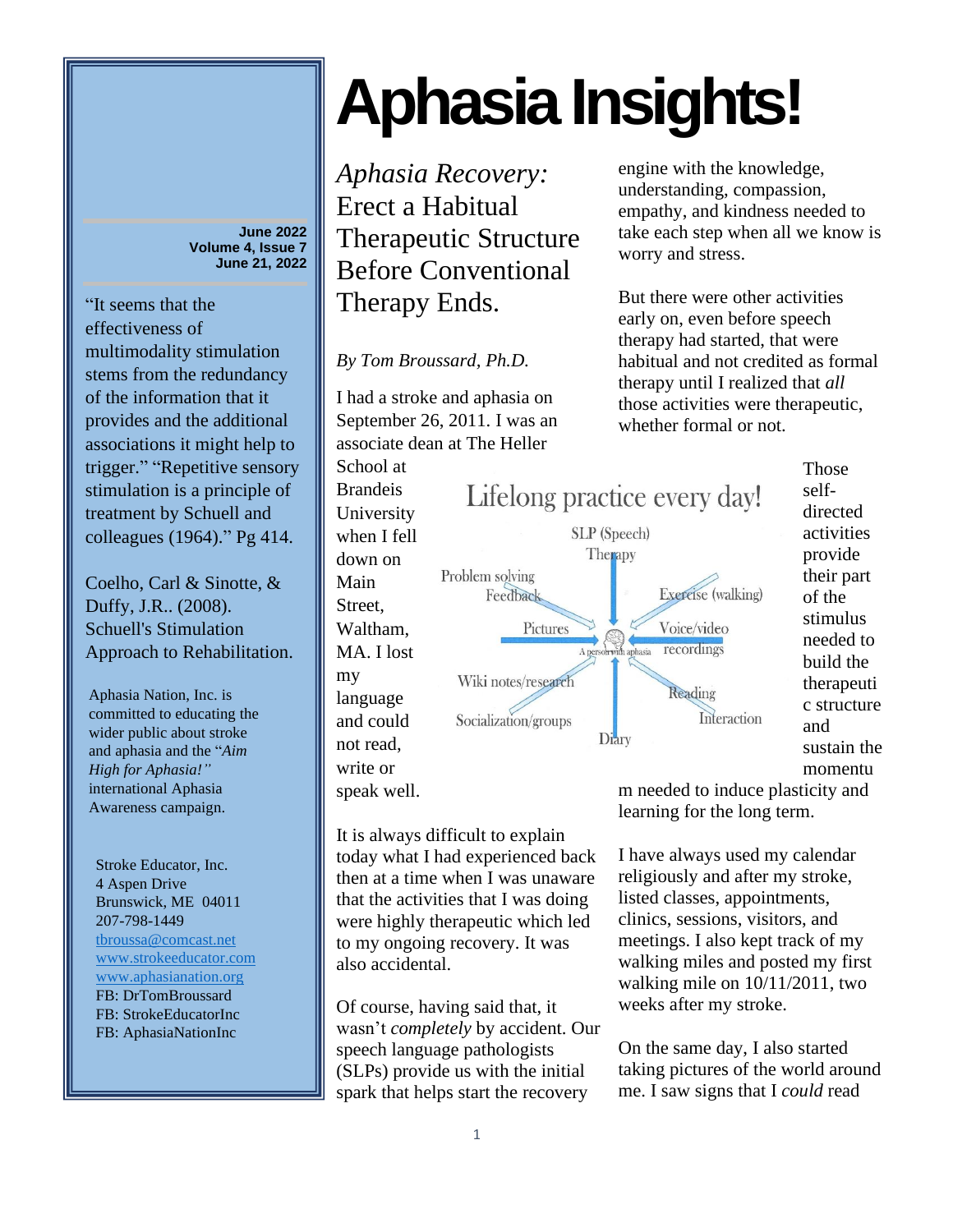**June 2022 Volume 4, Issue 7 June 21, 2022**

"It seems that the effectiveness of multimodality stimulation stems from the redundancy of the information that it provides and the additional associations it might help to trigger." "Repetitive sensory stimulation is a principle of treatment by Schuell and colleagues (1964)." Pg 414.

Coelho, Carl & Sinotte, & Duffy, J.R.. (2008). Schuell's Stimulation Approach to Rehabilitation.

Aphasia Nation, Inc. is committed to educating the wider public about stroke and aphasia and the "*Aim High for Aphasia!"* international Aphasia Awareness campaign.

Stroke Educator, Inc. 4 Aspen Drive Brunswick, ME 04011 207-798-1449 [tbroussa@comcast.net](mailto:tbroussa@comcast.net) [www.strokeeducator.com](http://www.strokeeducator.com/) [www.aphasianation.org](http://www.aphasianation.org/) FB: DrTomBroussard FB: StrokeEducatorInc FB: AphasiaNationInc

## **Aphasia Insights!**

*Aphasia Recovery:* Erect a Habitual Therapeutic Structure Before Conventional Therapy Ends.

*By Tom Broussard, Ph.D.*

I had a stroke and aphasia on September 26, 2011. I was an associate dean at The Heller

School at Brandeis University when I fell down on Main Street, Waltham, MA. I lost my language and could not read, write or speak well.

also accidental.



engine with the knowledge, understanding, compassion, empathy, and kindness needed to take each step when all we know is worry and stress.

But there were other activities early on, even before speech therapy had started, that were habitual and not credited as formal therapy until I realized that *all*  those activities were therapeutic, whether formal or not.

> **Those** selfdirected activities provide their part of the stimulus needed to build the therapeuti c structure and sustain the momentu

It is always difficult to explain today what I had experienced back m needed to induce plasticity and learning for the long term.

I have always used my calendar religiously and after my stroke, listed classes, appointments, clinics, sessions, visitors, and meetings. I also kept track of my walking miles and posted my first walking mile on 10/11/2011, two weeks after my stroke.

On the same day, I also started taking pictures of the world around me. I saw signs that I *could* read

1

then at a time when I was unaware that the activities that I was doing were highly therapeutic which led to my ongoing recovery. It was

Of course, having said that, it wasn't *completely* by accident. Our

speech language pathologists (SLPs) provide us with the initial spark that helps start the recovery